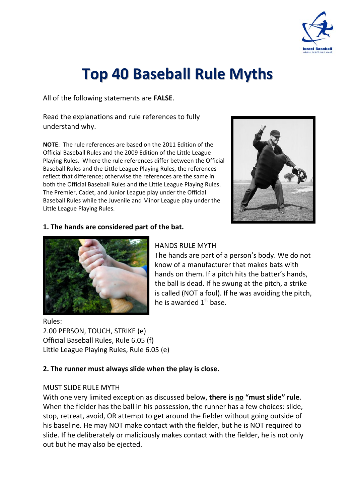

# **Top 40 Baseball Rule Myths**

All of the following statements are **FALSE**.

Read the explanations and rule references to fully understand why.

**NOTE**: The rule references are based on the 2011 Edition of the Official Baseball Rules and the 2009 Edition of the Little League Playing Rules. Where the rule references differ between the Official Baseball Rules and the Little League Playing Rules, the references reflect that difference; otherwise the references are the same in both the Official Baseball Rules and the Little League Playing Rules. The Premier, Cadet, and Junior League play under the Official Baseball Rules while the Juvenile and Minor League play under the Little League Playing Rules.



## **1. The hands are considered part of the bat.**



# HANDS RULE MYTH

The hands are part of a person's body. We do not know of a manufacturer that makes bats with hands on them. If a pitch hits the batter's hands, the ball is dead. If he swung at the pitch, a strike is called (NOT a foul). If he was avoiding the pitch, he is awarded  $1<sup>st</sup>$  base.

Rules: 2.00 PERSON, TOUCH, STRIKE (e) Official Baseball Rules, Rule 6.05 (f) Little League Playing Rules, Rule 6.05 (e)

## **2. The runner must always slide when the play is close.**

## MUST SLIDE RULE MYTH

With one very limited exception as discussed below, **there is no "must slide" rule**. When the fielder has the ball in his possession, the runner has a few choices: slide, stop, retreat, avoid, OR attempt to get around the fielder without going outside of his baseline. He may NOT make contact with the fielder, but he is NOT required to slide. If he deliberately or maliciously makes contact with the fielder, he is not only out but he may also be ejected.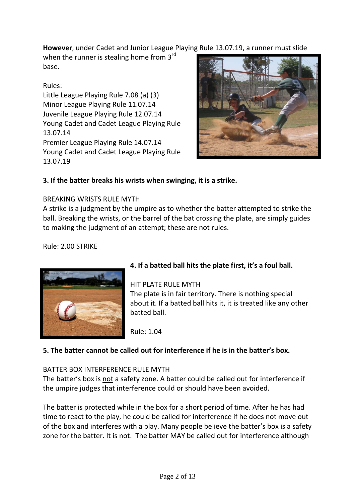**However**, under Cadet and Junior League Playing Rule 13.07.19, a runner must slide

when the runner is stealing home from 3rd base.

# Rules:

Little League Playing Rule 7.08 (a) (3) Minor League Playing Rule 11.07.14 Juvenile League Playing Rule 12.07.14 Young Cadet and Cadet League Playing Rule 13.07.14 Premier League Playing Rule 14.07.14 Young Cadet and Cadet League Playing Rule 13.07.19



# **3. If the batter breaks his wrists when swinging, it is a strike.**

# BREAKING WRISTS RULE MYTH

A strike is a judgment by the umpire as to whether the batter attempted to strike the ball. Breaking the wrists, or the barrel of the bat crossing the plate, are simply guides to making the judgment of an attempt; these are not rules.

Rule: 2.00 STRIKE



# **4. If a batted ball hits the plate first, it's a foul ball.**

# HIT PLATE RULE MYTH

The plate is in fair territory. There is nothing special about it. If a batted ball hits it, it is treated like any other batted ball.

Rule: 1.04

# **5. The batter cannot be called out for interference if he is in the batter's box.**

# BATTER BOX INTERFERENCE RULE MYTH

The batter's box is not a safety zone. A batter could be called out for interference if the umpire judges that interference could or should have been avoided.

The batter is protected while in the box for a short period of time. After he has had time to react to the play, he could be called for interference if he does not move out of the box and interferes with a play. Many people believe the batter's box is a safety zone for the batter. It is not. The batter MAY be called out for interference although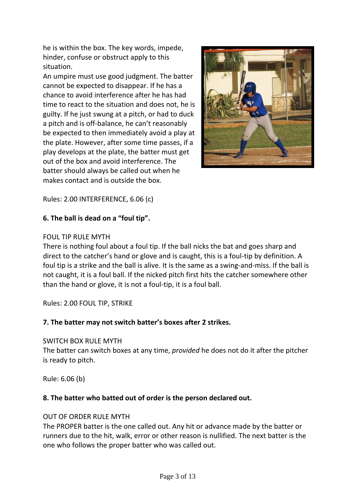he is within the box. The key words, impede, hinder, confuse or obstruct apply to this situation.

An umpire must use good judgment. The batter cannot be expected to disappear. If he has a chance to avoid interference after he has had time to react to the situation and does not, he is guilty. If he just swung at a pitch, or had to duck a pitch and is off‐balance, he can't reasonably be expected to then immediately avoid a play at the plate. However, after some time passes, if a play develops at the plate, the batter must get out of the box and avoid interference. The batter should always be called out when he makes contact and is outside the box.



Rules: 2.00 INTERFERENCE, 6.06 (c)

# **6. The ball is dead on a "foul tip".**

#### FOUL TIP RULE MYTH

There is nothing foul about a foul tip. If the ball nicks the bat and goes sharp and direct to the catcher's hand or glove and is caught, this is a foul-tip by definition. A foul tip is a strike and the ball is alive. It is the same as a swing-and-miss. If the ball is not caught, it is a foul ball. If the nicked pitch first hits the catcher somewhere other than the hand or glove, it is not a foul‐tip, it is a foul ball.

Rules: 2.00 FOUL TIP, STRIKE

## **7. The batter may not switch batter's boxes after 2 strikes.**

#### SWITCH BOX RULE MYTH

The batter can switch boxes at any time, *provided* he does not do it after the pitcher is ready to pitch.

Rule: 6.06 (b)

#### **8. The batter who batted out of order is the person declared out.**

#### OUT OF ORDER RULE MYTH

The PROPER batter is the one called out. Any hit or advance made by the batter or runners due to the hit, walk, error or other reason is nullified. The next batter is the one who follows the proper batter who was called out.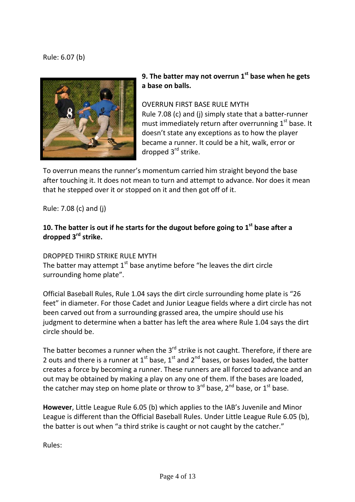Rule: 6.07 (b)



**9. The batter may not overrun 1st base when he gets a base on balls.**

OVERRUN FIRST BASE RULE MYTH Rule 7.08 (c) and (j) simply state that a batter‐runner must immediately return after overrunning  $1<sup>st</sup>$  base. It doesn't state any exceptions as to how the player became a runner. It could be a hit, walk, error or dropped 3<sup>rd</sup> strike.

To overrun means the runner's momentum carried him straight beyond the base after touching it. It does not mean to turn and attempt to advance. Nor does it mean that he stepped over it or stopped on it and then got off of it.

Rule: 7.08 (c) and (j)

# **10. The batter is out if he starts for the dugout before going to 1st base after a dropped 3rd strike.**

DROPPED THIRD STRIKE RULE MYTH

The batter may attempt  $1<sup>st</sup>$  base anytime before "he leaves the dirt circle surrounding home plate".

Official Baseball Rules, Rule 1.04 says the dirt circle surrounding home plate is "26 feet" in diameter. For those Cadet and Junior League fields where a dirt circle has not been carved out from a surrounding grassed area, the umpire should use his judgment to determine when a batter has left the area where Rule 1.04 says the dirt circle should be.

The batter becomes a runner when the  $3<sup>rd</sup>$  strike is not caught. Therefore, if there are 2 outs and there is a runner at  $1^{st}$  base,  $1^{st}$  and  $2^{nd}$  bases, or bases loaded, the batter creates a force by becoming a runner. These runners are all forced to advance and an out may be obtained by making a play on any one of them. If the bases are loaded, the catcher may step on home plate or throw to  $3^{rd}$  base.  $2^{nd}$  base, or  $1^{st}$  base.

**However**, Little League Rule 6.05 (b) which applies to the IAB's Juvenile and Minor League is different than the Official Baseball Rules. Under Little League Rule 6.05 (b), the batter is out when "a third strike is caught or not caught by the catcher."

Rules: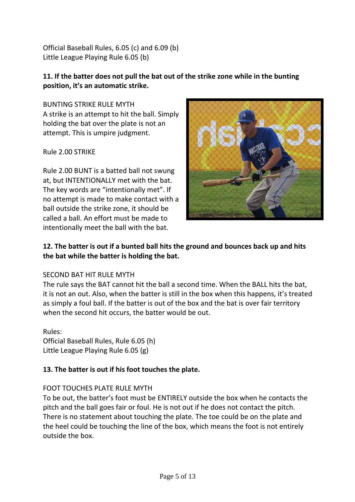Official Baseball Rules, 6.05 (c) and 6.09 (b) Little League Playing Rule 6.05 (b)

# **11. If the batter does not pull the bat out of the strike zone while in the bunting position, it's an automatic strike.**

BUNTING STRIKE RULE MYTH A strike is an attempt to hit the ball. Simply holding the bat over the plate is not an attempt. This is umpire judgment.

Rule 2.00 STRIKE

Rule 2.00 BUNT is a batted ball not swung at, but INTENTIONALLY met with the bat. The key words are "intentionally met". If no attempt is made to make contact with a ball outside the strike zone, it should be called a ball. An effort must be made to intentionally meet the ball with the bat.



# **12. The batter is out if a bunted ball hits the ground and bounces back up and hits the bat while the batter is holding the bat.**

## SECOND BAT HIT RULE MYTH

The rule says the BAT cannot hit the ball a second time. When the BALL hits the bat, it is not an out. Also, when the batter is still in the box when this happens, it's treated as simply a foul ball. If the batter is out of the box and the bat is over fair territory when the second hit occurs, the batter would be out.

Rules: Official Baseball Rules, Rule 6.05 (h) Little League Playing Rule 6.05 (g)

# **13. The batter is out if his foot touches the plate.**

# FOOT TOUCHES PLATE RULE MYTH

To be out, the batter's foot must be ENTIRELY outside the box when he contacts the pitch and the ball goes fair or foul. He is not out if he does not contact the pitch. There is no statement about touching the plate. The toe could be on the plate and the heel could be touching the line of the box, which means the foot is not entirely outside the box.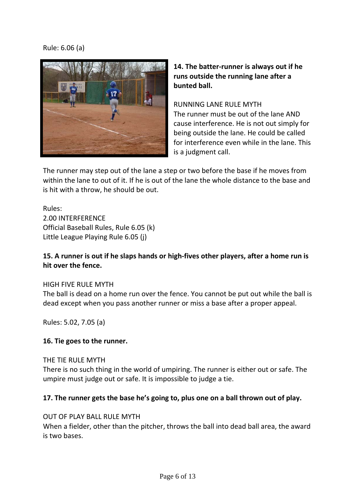# Rule: 6.06 (a)



# **14. The batter‐runner is always out if he runs outside the running lane after a bunted ball.**

RUNNING LANE RULE MYTH The runner must be out of the lane AND cause interference. He is not out simply for being outside the lane. He could be called for interference even while in the lane. This is a judgment call.

The runner may step out of the lane a step or two before the base if he moves from within the lane to out of it. If he is out of the lane the whole distance to the base and is hit with a throw, he should be out.

Rules: 2.00 INTERFERENCE Official Baseball Rules, Rule 6.05 (k) Little League Playing Rule 6.05 (j)

# 15. A runner is out if he slaps hands or high-fives other players, after a home run is **hit over the fence.**

## HIGH FIVE RULE MYTH

The ball is dead on a home run over the fence. You cannot be put out while the ball is dead except when you pass another runner or miss a base after a proper appeal.

Rules: 5.02, 7.05 (a)

#### **16. Tie goes to the runner.**

#### THE TIE RULE MYTH

There is no such thing in the world of umpiring. The runner is either out or safe. The umpire must judge out or safe. It is impossible to judge a tie.

## **17. The runner gets the base he's going to, plus one on a ball thrown out of play.**

#### OUT OF PLAY BALL RULE MYTH

When a fielder, other than the pitcher, throws the ball into dead ball area, the award is two bases.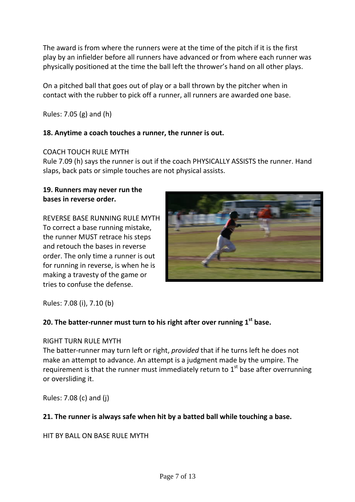The award is from where the runners were at the time of the pitch if it is the first play by an infielder before all runners have advanced or from where each runner was physically positioned at the time the ball left the thrower's hand on all other plays.

On a pitched ball that goes out of play or a ball thrown by the pitcher when in contact with the rubber to pick off a runner, all runners are awarded one base.

Rules: 7.05 (g) and (h)

# **18. Anytime a coach touches a runner, the runner is out.**

## COACH TOUCH RULE MYTH

Rule 7.09 (h) says the runner is out if the coach PHYSICALLY ASSISTS the runner. Hand slaps, back pats or simple touches are not physical assists.

#### **19. Runners may never run the bases in reverse order.**

REVERSE BASE RUNNING RULE MYTH To correct a base running mistake, the runner MUST retrace his steps and retouch the bases in reverse order. The only time a runner is out for running in reverse, is when he is making a travesty of the game or tries to confuse the defense.



Rules: 7.08 (i), 7.10 (b)

# **20. The batter‐runner must turn to his right after over running 1st base.**

## RIGHT TURN RULE MYTH

The batter‐runner may turn left or right, *provided* that if he turns left he does not make an attempt to advance. An attempt is a judgment made by the umpire. The requirement is that the runner must immediately return to  $1<sup>st</sup>$  base after overrunning or oversliding it.

Rules: 7.08 (c) and (j)

# **21. The runner is always safe when hit by a batted ball while touching a base.**

HIT BY BALL ON BASE RULE MYTH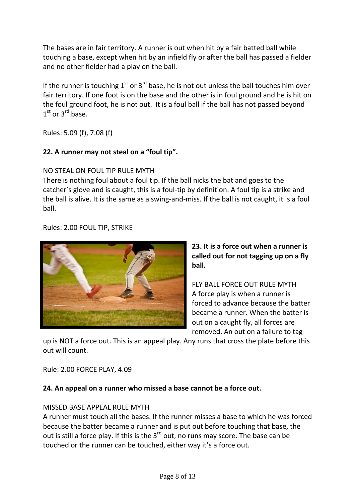The bases are in fair territory. A runner is out when hit by a fair batted ball while touching a base, except when hit by an infield fly or after the ball has passed a fielder and no other fielder had a play on the ball.

If the runner is touching  $1^{st}$  or  $3^{rd}$  base, he is not out unless the ball touches him over fair territory. If one foot is on the base and the other is in foul ground and he is hit on the foul ground foot, he is not out. It is a foul ball if the ball has not passed beyond  $1<sup>st</sup>$  or  $3<sup>rd</sup>$  base.

Rules: 5.09 (f), 7.08 (f)

# **22. A runner may not steal on a "foul tip".**

# NO STEAL ON FOUL TIP RULE MYTH

There is nothing foul about a foul tip. If the ball nicks the bat and goes to the catcher's glove and is caught, this is a foul‐tip by definition. A foul tip is a strike and the ball is alive. It is the same as a swing‐and‐miss. If the ball is not caught, it is a foul ball.

Rules: 2.00 FOUL TIP, STRIKE



**23. It is a force out when a runner is called out for not tagging up on a fly ball.**

FLY BALL FORCE OUT RULE MYTH A force play is when a runner is forced to advance because the batter became a runner. When the batter is out on a caught fly, all forces are removed. An out on a failure to tag‐

up is NOT a force out. This is an appeal play. Any runs that cross the plate before this out will count.

Rule: 2.00 FORCE PLAY, 4.09

# **24. An appeal on a runner who missed a base cannot be a force out.**

# MISSED BASE APPEAL RULE MYTH

A runner must touch all the bases. If the runner misses a base to which he was forced because the batter became a runner and is put out before touching that base, the out is still a force play. If this is the  $3^{rd}$  out, no runs may score. The base can be touched or the runner can be touched, either way it's a force out.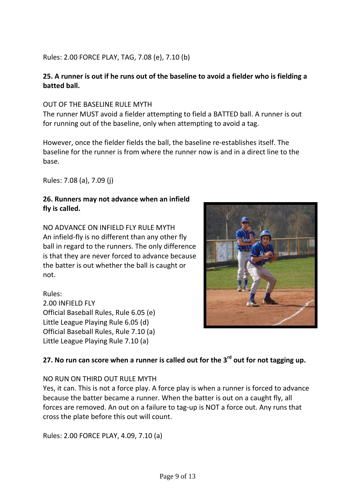# Rules: 2.00 FORCE PLAY, TAG, 7.08 (e), 7.10 (b)

# 25. A runner is out if he runs out of the baseline to avoid a fielder who is fielding a **batted ball.**

#### OUT OF THE BASELINE RULE MYTH

The runner MUST avoid a fielder attempting to field a BATTED ball. A runner is out for running out of the baseline, only when attempting to avoid a tag.

However, once the fielder fields the ball, the baseline re‐establishes itself. The baseline for the runner is from where the runner now is and in a direct line to the base.

Rules: 7.08 (a), 7.09 (j)

## **26. Runners may not advance when an infield fly is called.**

NO ADVANCE ON INFIELD FLY RULE MYTH An infield‐fly is no different than any other fly ball in regard to the runners. The only difference is that they are never forced to advance because the batter is out whether the ball is caught or not.

Rules: 2.00 INFIELD FLY Official Baseball Rules, Rule 6.05 (e) Little League Playing Rule 6.05 (d) Official Baseball Rules, Rule 7.10 (a) Little League Playing Rule 7.10 (a)



# **27. No run can score when a runner is called out for the 3rd out for not tagging up.**

## NO RUN ON THIRD OUT RULE MYTH

Yes, it can. This is not a force play. A force play is when a runner is forced to advance because the batter became a runner. When the batter is out on a caught fly, all forces are removed. An out on a failure to tag-up is NOT a force out. Any runs that cross the plate before this out will count.

Rules: 2.00 FORCE PLAY, 4.09, 7.10 (a)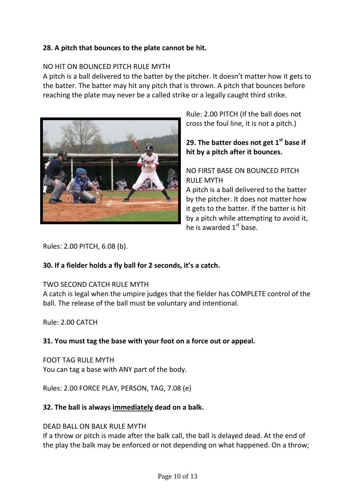# **28. A pitch that bounces to the plate cannot be hit.**

#### NO HIT ON BOUNCED PITCH RULE MYTH

A pitch is a ball delivered to the batter by the pitcher. It doesn't matter how it gets to the batter. The batter may hit any pitch that is thrown. A pitch that bounces before reaching the plate may never be a called strike or a legally caught third strike.



Rule: 2.00 PITCH (If the ball does not cross the foul line, it is not a pitch.)

# **29. The batter does not get 1st base if hit by a pitch after it bounces.**

# NO FIRST BASE ON BOUNCED PITCH RULE MYTH

A pitch is a ball delivered to the batter by the pitcher. It does not matter how it gets to the batter. If the batter is hit by a pitch while attempting to avoid it, he is awarded  $1<sup>st</sup>$  base.

Rules: 2.00 PITCH, 6.08 (b).

## **30. If a fielder holds a fly ball for 2 seconds, it's a catch.**

## TWO SECOND CATCH RULE MYTH

A catch is legal when the umpire judges that the fielder has COMPLETE control of the ball. The release of the ball must be voluntary and intentional.

Rule: 2.00 CATCH

## **31. You must tag the base with your foot on a force out or appeal.**

FOOT TAG RULE MYTH You can tag a base with ANY part of the body.

Rules: 2.00 FORCE PLAY, PERSON, TAG, 7.08 (e)

## **32. The ball is always immediately dead on a balk.**

## DEAD BALL ON BALK RULE MYTH

If a throw or pitch is made after the balk call, the ball is delayed dead. At the end of the play the balk may be enforced or not depending on what happened. On a throw;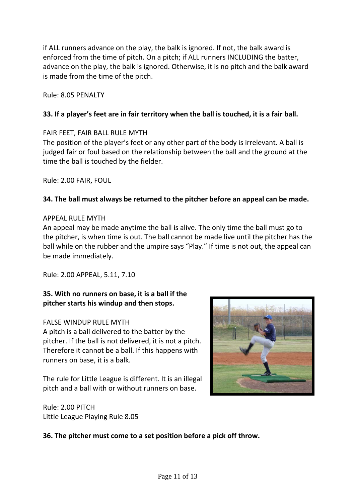if ALL runners advance on the play, the balk is ignored. If not, the balk award is enforced from the time of pitch. On a pitch; if ALL runners INCLUDING the batter, advance on the play, the balk is ignored. Otherwise, it is no pitch and the balk award is made from the time of the pitch.

Rule: 8.05 PENALTY

## **33. If a player's feet are in fair territory when the ball is touched, it is a fair ball.**

#### FAIR FEET, FAIR BALL RULE MYTH

The position of the player's feet or any other part of the body is irrelevant. A ball is judged fair or foul based on the relationship between the ball and the ground at the time the ball is touched by the fielder.

Rule: 2.00 FAIR, FOUL

## **34. The ball must always be returned to the pitcher before an appeal can be made.**

#### APPEAL RULE MYTH

An appeal may be made anytime the ball is alive. The only time the ball must go to the pitcher, is when time is out. The ball cannot be made live until the pitcher has the ball while on the rubber and the umpire says "Play." If time is not out, the appeal can be made immediately.

Rule: 2.00 APPEAL, 5.11, 7.10

# **35. With no runners on base, it is a ball if the pitcher starts his windup and then stops.**

## FALSE WINDUP RULE MYTH

A pitch is a ball delivered to the batter by the pitcher. If the ball is not delivered, it is not a pitch. Therefore it cannot be a ball. If this happens with runners on base, it is a balk.

The rule for Little League is different. It is an illegal pitch and a ball with or without runners on base.



Rule: 2.00 PITCH Little League Playing Rule 8.05

## **36. The pitcher must come to a set position before a pick off throw.**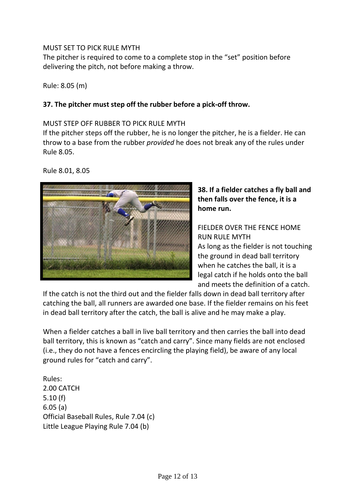## MUST SET TO PICK RULE MYTH

The pitcher is required to come to a complete stop in the "set" position before delivering the pitch, not before making a throw.

Rule: 8.05 (m)

# **37. The pitcher must step off the rubber before a pick‐off throw.**

#### MUST STEP OFF RUBBER TO PICK RULE MYTH

If the pitcher steps off the rubber, he is no longer the pitcher, he is a fielder. He can throw to a base from the rubber *provided* he does not break any of the rules under Rule 8.05.

Rule 8.01, 8.05



# **38. If a fielder catches a fly ball and then falls over the fence, it is a home run.**

# FIELDER OVER THE FENCE HOME RUN RULE MYTH

As long as the fielder is not touching the ground in dead ball territory when he catches the ball, it is a legal catch if he holds onto the ball and meets the definition of a catch.

If the catch is not the third out and the fielder falls down in dead ball territory after catching the ball, all runners are awarded one base. If the fielder remains on his feet in dead ball territory after the catch, the ball is alive and he may make a play.

When a fielder catches a ball in live ball territory and then carries the ball into dead ball territory, this is known as "catch and carry". Since many fields are not enclosed (i.e., they do not have a fences encircling the playing field), be aware of any local ground rules for "catch and carry".

Rules: 2.00 CATCH 5.10 (f) 6.05 (a) Official Baseball Rules, Rule 7.04 (c) Little League Playing Rule 7.04 (b)